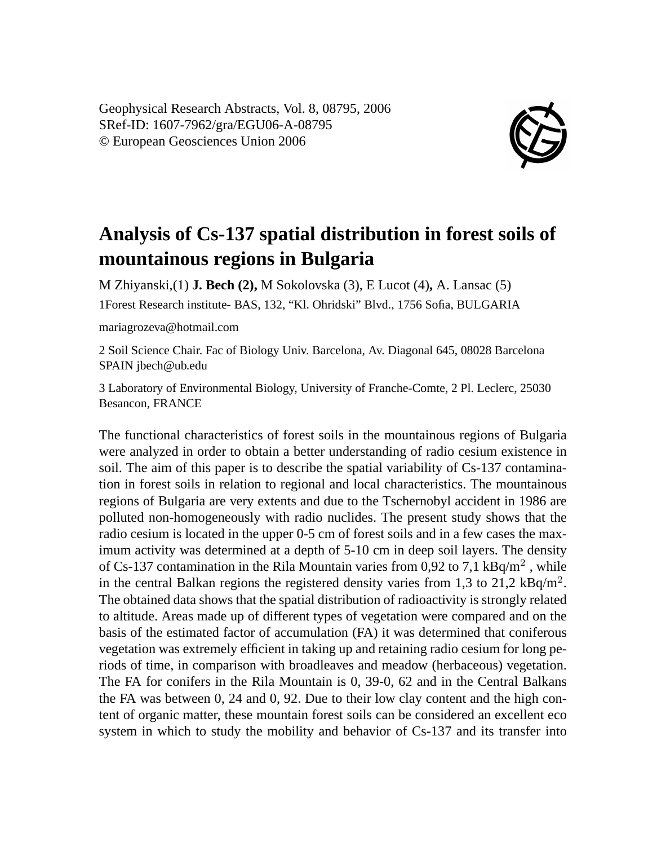Geophysical Research Abstracts, Vol. 8, 08795, 2006 SRef-ID: 1607-7962/gra/EGU06-A-08795 © European Geosciences Union 2006



## **Analysis of Cs-137 spatial distribution in forest soils of mountainous regions in Bulgaria**

M Zhiyanski,(1) **J. Bech (2),** M Sokolovska (3), E Lucot (4)**,** A. Lansac (5) 1Forest Research institute- BAS, 132, "Kl. Ohridski" Blvd., 1756 Sofia, BULGARIA

## mariagrozeva@hotmail.com

2 Soil Science Chair. Fac of Biology Univ. Barcelona, Av. Diagonal 645, 08028 Barcelona SPAIN jbech@ub.edu

3 Laboratory of Environmental Biology, University of Franche-Comte, 2 Pl. Leclerc, 25030 Besancon, FRANCE

The functional characteristics of forest soils in the mountainous regions of Bulgaria were analyzed in order to obtain a better understanding of radio cesium existence in soil. The aim of this paper is to describe the spatial variability of Cs-137 contamination in forest soils in relation to regional and local characteristics. The mountainous regions of Bulgaria are very extents and due to the Tschernobyl accident in 1986 are polluted non-homogeneously with radio nuclides. The present study shows that the radio cesium is located in the upper 0-5 cm of forest soils and in a few cases the maximum activity was determined at a depth of 5-10 cm in deep soil layers. The density of Cs-137 contamination in the Rila Mountain varies from 0,92 to 7,1 kBq/m<sup>2</sup>, while in the central Balkan regions the registered density varies from 1,3 to 21,2  $kBq/m^2$ . The obtained data shows that the spatial distribution of radioactivity is strongly related to altitude. Areas made up of different types of vegetation were compared and on the basis of the estimated factor of accumulation (FA) it was determined that coniferous vegetation was extremely efficient in taking up and retaining radio cesium for long periods of time, in comparison with broadleaves and meadow (herbaceous) vegetation. The FA for conifers in the Rila Mountain is 0, 39-0, 62 and in the Central Balkans the FA was between 0, 24 and 0, 92. Due to their low clay content and the high content of organic matter, these mountain forest soils can be considered an excellent eco system in which to study the mobility and behavior of Cs-137 and its transfer into